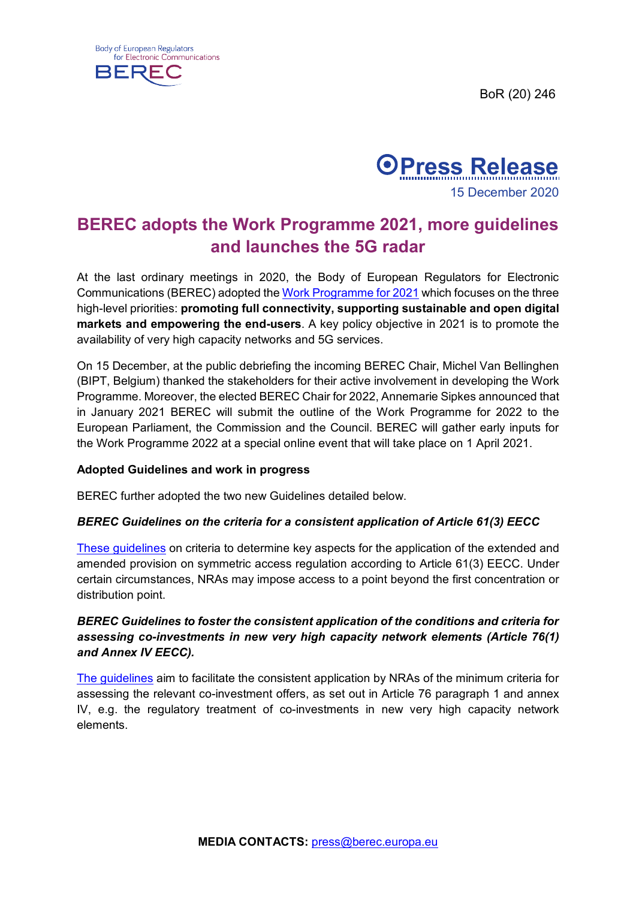BoR (20) 246





# **BEREC adopts the Work Programme 2021, more guidelines and launches the 5G radar**

At the last ordinary meetings in 2020, the Body of European Regulators for Electronic Communications (BEREC) adopted the Work [Programme](https://berec.europa.eu/eng/document_register/subject_matter/berec/annual_work_programmes/9728-berec-work-programme-2021) for 2021 which focuses on the three high-level priorities: **promoting full connectivity, supporting sustainable and open digital markets and empowering the end-users**. A key policy objective in 2021 is to promote the availability of very high capacity networks and 5G services.

On 15 December, at the public debriefing the incoming BEREC Chair, Michel Van Bellinghen (BIPT, Belgium) thanked the stakeholders for their active involvement in developing the Work Programme. Moreover, the elected BEREC Chair for 2022, Annemarie Sipkes announced that in January 2021 BEREC will submit the outline of the Work Programme for 2022 to the European Parliament, the Commission and the Council. BEREC will gather early inputs for the Work Programme 2022 at a special online event that will take place on 1 April 2021.

## **Adopted Guidelines and work in progress**

BEREC further adopted the two new Guidelines detailed below.

## *BEREC Guidelines on the criteria for a consistent application of Article 61(3) EECC*

[These guidelines](https://berec.europa.eu/eng/document_register/subject_matter/berec/regulatory_best_practices/guidelines/9723-berec-guidelines-on-the-criteria-for-a-consistent-application-of-article-61-3-eecc) on criteria to determine key aspects for the application of the extended and amended provision on symmetric access regulation according to Article 61(3) EECC. Under certain circumstances, NRAs may impose access to a point beyond the first concentration or distribution point.

## *BEREC Guidelines to foster the consistent application of the conditions and criteria for assessing co-investments in new very high capacity network elements (Article 76(1) and Annex IV EECC).*

[The guidelines](https://berec.europa.eu/eng/document_register/subject_matter/berec/regulatory_best_practices/guidelines/9727-berec-guidelines-to-foster-the-consistent-application-of-the-conditions-and-criteria-for-assessing-new-very-high-capacity-network-elements-article-76-1-and-annex-iv-eecc) aim to facilitate the consistent application by NRAs of the minimum criteria for assessing the relevant co-investment offers, as set out in Article 76 paragraph 1 and annex IV, e.g. the regulatory treatment of co-investments in new very high capacity network elements.